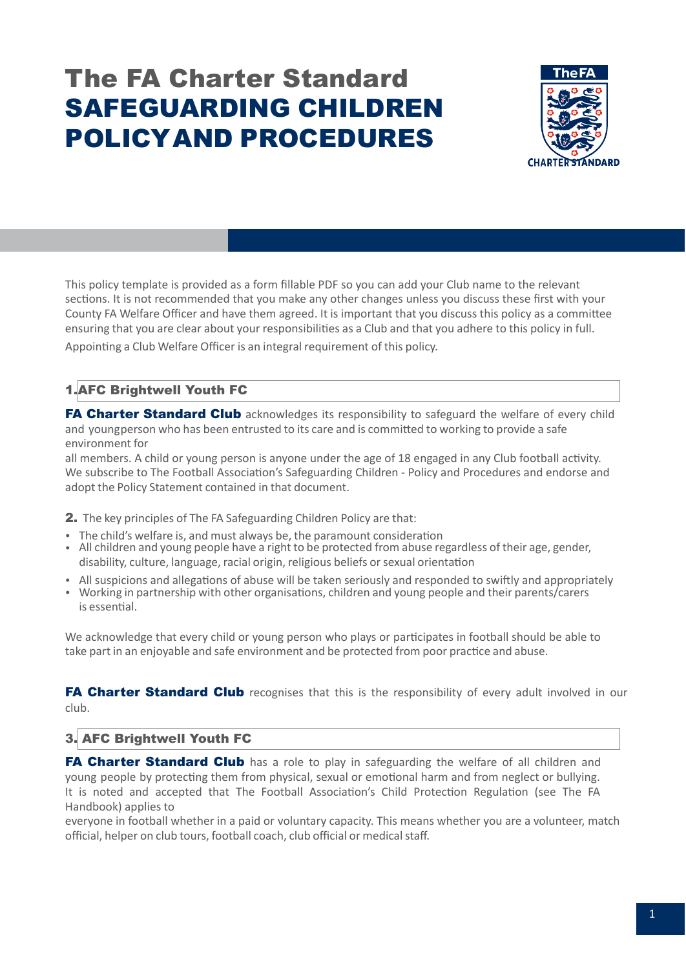# The FA Charter Standard SAFEGUARDING CHILDREN POLICYAND PROCEDURES



This policy template is provided as a form fillable PDF so you can add your Club name to the relevant sections. It is not recommended that you make any other changes unless you discuss these first with your County FA Welfare Officer and have them agreed. It is important that you discuss this policy as a committee ensuring that you are clear about your responsibilities as a Club and that you adhere to this policy in full. Appointing a Club Welfare Officer is an integral requirement of this policy.

## 1.AFC Brightwell Youth FC

FA Charter Standard Club acknowledges its responsibility to safeguard the welfare of every child and youngperson who has been entrusted to its care and is committed to working to provide a safe environment for

all members. A child or young person is anyone under the age of 18 engaged in any Club football activity. We subscribe to The Football Association's Safeguarding Children - Policy and Procedures and endorse and adopt the Policy Statement contained in that document.

2. The key principles of The FA Safeguarding Children Policy are that:

- The child's welfare is, and must always be, the paramount consideration
- All children and young people have a right to be protected from abuse regardless of their age, gender, disability, culture, language, racial origin, religious beliefs or sexual orientation
- All suspicions and allegations of abuse will be taken seriously and responded to swiftly and appropriately
- Working in partnership with other organisations, children and young people and their parents/carers is essential.

We acknowledge that every child or young person who plays or participates in football should be able to take part in an enjoyable and safe environment and be protected from poor practice and abuse.

FA Charter Standard Club recognises that this is the responsibility of every adult involved in our club.

## 3. AFC Brightwell Youth FC

**FA Charter Standard Club** has a role to play in safeguarding the welfare of all children and young people by protecting them from physical, sexual or emotional harm and from neglect or bullying. It is noted and accepted that The Football Association's Child Protection Regulation (see The FA Handbook) applies to

everyone in football whether in a paid or voluntary capacity. This means whether you are a volunteer, match official, helper on club tours, football coach, club official or medical staff.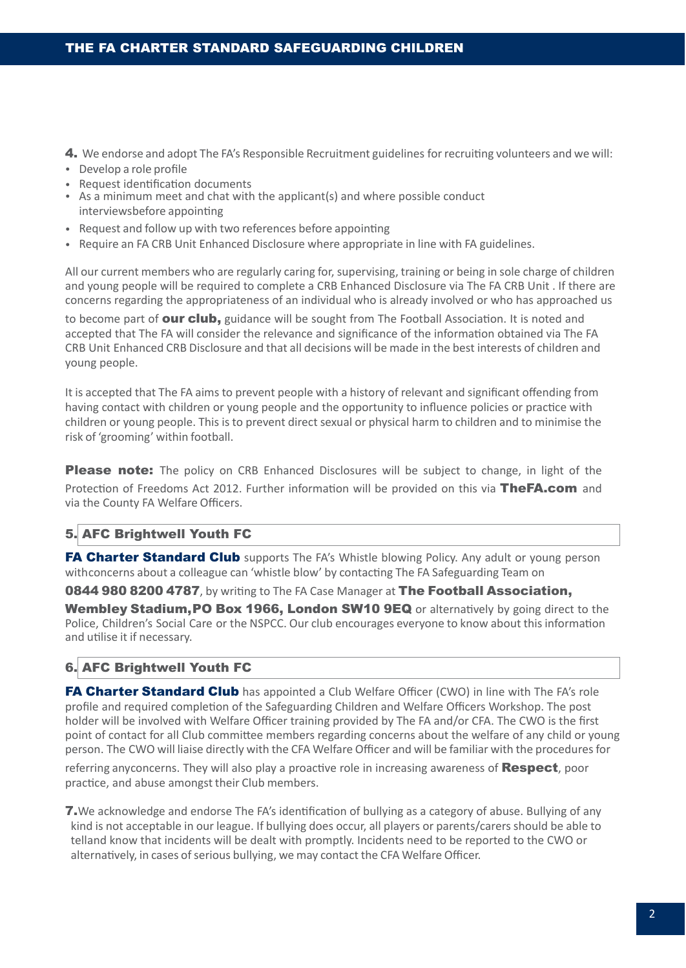- 4. We endorse and adopt The FA's Responsible Recruitment guidelines for recruiting volunteers and we will:
- Develop a role profile
- Request identification documents
- As a minimum meet and chat with the applicant(s) and where possible conduct interviewsbefore appointing
- Request and follow up with two references before appointing
- Require an FA CRB Unit Enhanced Disclosure where appropriate in line with FA guidelines.

All our current members who are regularly caring for, supervising, training or being in sole charge of children and young people will be required to complete a CRB Enhanced Disclosure via The FA CRB Unit . If there are concerns regarding the appropriateness of an individual who is already involved or who has approached us

to become part of **our club,** guidance will be sought from The Football Association. It is noted and accepted that The FA will consider the relevance and significance of the information obtained via The FA CRB Unit Enhanced CRB Disclosure and that all decisions will be made in the best interests of children and young people.

It is accepted that The FA aims to prevent people with a history of relevant and significant offending from having contact with children or young people and the opportunity to influence policies or practice with children or young people. This is to prevent direct sexual or physical harm to children and to minimise the risk of 'grooming' within football.

**Please note:** The policy on CRB Enhanced Disclosures will be subject to change, in light of the Protection of Freedoms Act 2012. Further information will be provided on this via TheFA.com and via the County FA Welfare Officers.

### 5. AFC Brightwell Youth FC

**FA Charter Standard Club** supports The FA's Whistle blowing Policy. Any adult or young person withconcerns about a colleague can 'whistle blow' by contacting The FA Safeguarding Team on

0844 980 8200 4787, by writing to The FA Case Manager at The Football Association,

Wembley Stadium, PO Box 1966, London SW10 9EQ or alternatively by going direct to the Police, Children's Social Care or the NSPCC. Our club encourages everyone to know about this information and utilise it if necessary.

### 6. AFC Brightwell Youth FC

FA Charter Standard Club has appointed a Club Welfare Officer (CWO) in line with The FA's role profile and required completion of the Safeguarding Children and Welfare Officers Workshop. The post holder will be involved with Welfare Officer training provided by The FA and/or CFA. The CWO is the first point of contact for all Club committee members regarding concerns about the welfare of any child or young person. The CWO will liaise directly with the CFA Welfare Officer and will be familiar with the proceduresfor

referring anyconcerns. They will also play a proactive role in increasing awareness of Respect, poor practice, and abuse amongst their Club members.

**7.** We acknowledge and endorse The FA's identification of bullying as a category of abuse. Bullying of any kind is not acceptable in our league. If bullying does occur, all players or parents/carers should be able to telland know that incidents will be dealt with promptly. Incidents need to be reported to the CWO or alternatively, in cases of serious bullying, we may contact the CFA Welfare Officer.